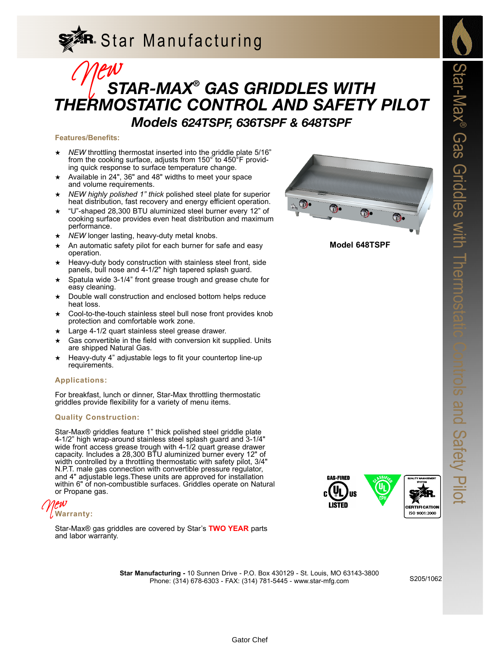# **R**. Star Manufacturing

### *STAR-MAX® GAS GRIDDLES WITH THERMOSTATIC CONTROL AND SAFETY PILOT Models 624TSPF, 636TSPF & 648TSPF* Mew<br>S<sub>1</sub> S<sub>1</sub>

#### **Features/Benefits:**

- NEW throttling thermostat inserted into the griddle plate 5/16" from the cooking surface, adjusts from 150° to 450°F providing quick response to surface temperature change.
- ★ Available in 24", 36" and 48" widths to meet your space and volume requirements.
- NEW highly polished 1" thick polished steel plate for superior heat distribution, fast recovery and energy efficient operation.
- ★ "U"-shaped 28,300 BTU aluminized steel burner every 12" of cooking surface provides even heat distribution and maximum performance.
- ★ *NEW* longer lasting, heavy-duty metal knobs.
- An automatic safety pilot for each burner for safe and easy operation.
- Heavy-duty body construction with stainless steel front, side panels, bull nose and 4-1/2" high tapered splash guard.
- Spatula wide 3-1/4" front grease trough and grease chute for easy cleaning.
- Double wall construction and enclosed bottom helps reduce heat loss.
- Cool-to-the-touch stainless steel bull nose front provides knob protection and comfortable work zone.
- Large 4-1/2 quart stainless steel grease drawer.
- Gas convertible in the field with conversion kit supplied. Units are shipped Natural Gas.
- Heavy-duty 4" adjustable legs to fit your countertop line-up requirements.

#### **Applications:**

For breakfast, lunch or dinner, Star-Max throttling thermostatic griddles provide flexibility for a variety of menu items.

#### **Quality Construction:**

Star-Max® griddles feature 1" thick polished steel griddle plate 4-1/2" high wrap-around stainless steel splash guard and 3-1/4" wide front access grease trough with 4-1/2 quart grease drawer capacity. Includes a 28,300 BTU aluminized burner every 12" of width controlled by a throttling thermostatic with safety pilot, 3/4" N.P.T. male gas connection with convertible pressure regulator, and 4" adjustable legs.These units are approved for installation within 6" of non-combustible surfaces. Griddles operate on Natural or Propane gas.



Star-Max® gas griddles are covered by Star's **TWO YEAR** parts and labor warranty.



**Model 648TSPF**



**Star Manufacturing -** 10 Sunnen Drive - P.O. Box 430129 - St. Louis, MO 63143-3800 Phone: (314) 678-6303 - FAX: (314) 781-5445 - www.star-mfg.com

S205/1062